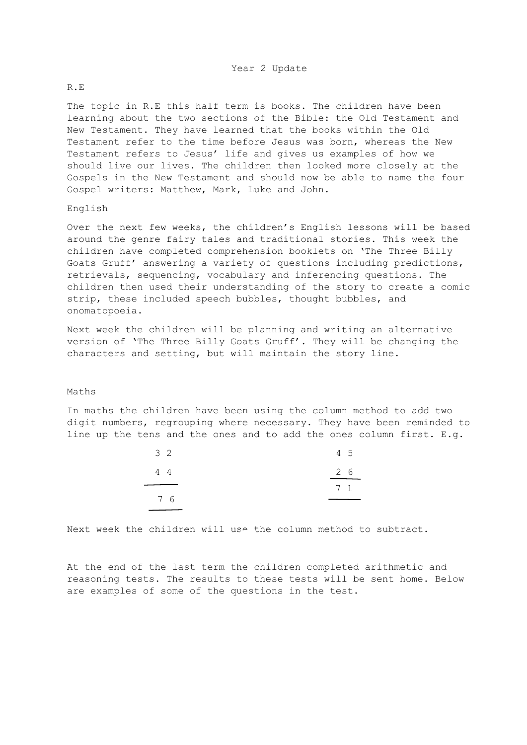### R.E

The topic in R.E this half term is books. The children have been learning about the two sections of the Bible: the Old Testament and New Testament. They have learned that the books within the Old Testament refer to the time before Jesus was born, whereas the New Testament refers to Jesus' life and gives us examples of how we should live our lives. The children then looked more closely at the Gospels in the New Testament and should now be able to name the four Gospel writers: Matthew, Mark, Luke and John.

#### English

Over the next few weeks, the children's English lessons will be based around the genre fairy tales and traditional stories. This week the children have completed comprehension booklets on 'The Three Billy Goats Gruff' answering a variety of questions including predictions, retrievals, sequencing, vocabulary and inferencing questions. The children then used their understanding of the story to create a comic strip, these included speech bubbles, thought bubbles, and onomatopoeia.

Next week the children will be planning and writing an alternative version of 'The Three Billy Goats Gruff'. They will be changing the characters and setting, but will maintain the story line.

#### Maths

In maths the children have been using the column method to add two digit numbers, regrouping where necessary. They have been reminded to line up the tens and the ones and to add the ones column first. E.g.

| 3 <sup>2</sup> | 4 5       |
|----------------|-----------|
| 4 4            | 26        |
|                | $7\quad1$ |
| 76             |           |

Next week the children will use the column method to subtract.

At the end of the last term the children completed arithmetic and reasoning tests. The results to these tests will be sent home. Below are examples of some of the questions in the test.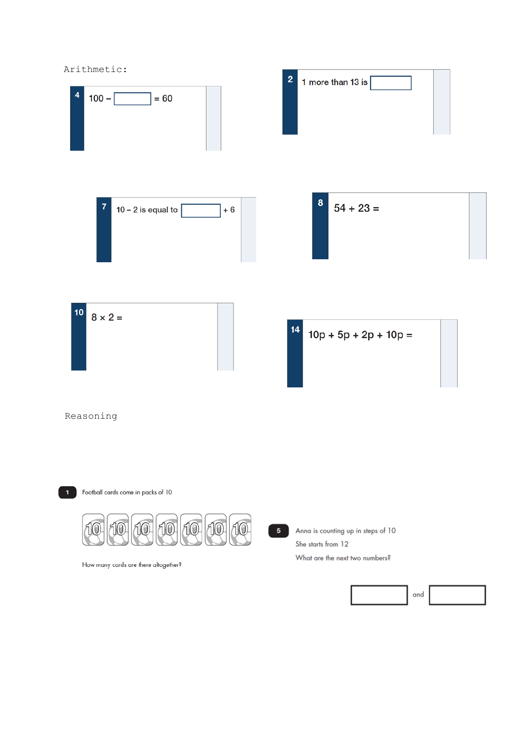